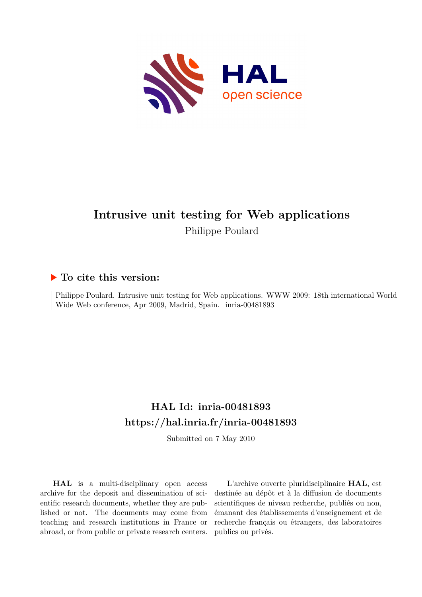

#### **Intrusive unit testing for Web applications** Philippe Poulard

#### **To cite this version:**

Philippe Poulard. Intrusive unit testing for Web applications. WWW 2009: 18th international World Wide Web conference, Apr 2009, Madrid, Spain. inria-00481893

#### **HAL Id: inria-00481893 <https://hal.inria.fr/inria-00481893>**

Submitted on 7 May 2010

**HAL** is a multi-disciplinary open access archive for the deposit and dissemination of scientific research documents, whether they are published or not. The documents may come from teaching and research institutions in France or abroad, or from public or private research centers.

L'archive ouverte pluridisciplinaire **HAL**, est destinée au dépôt et à la diffusion de documents scientifiques de niveau recherche, publiés ou non, émanant des établissements d'enseignement et de recherche français ou étrangers, des laboratoires publics ou privés.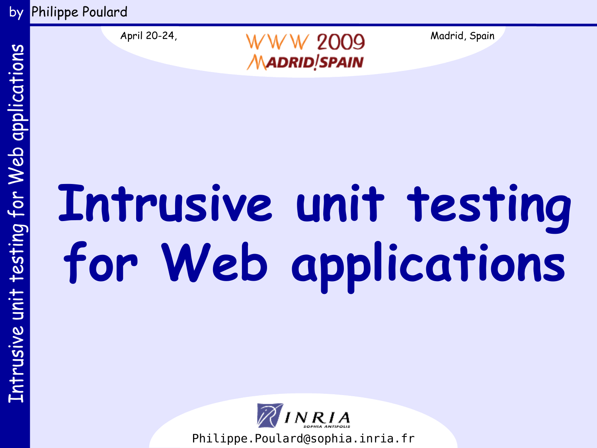by Philippe Poulard



April 20-24,  $WW$   $W$   $2009$  Madrid, Spain **MADRID**!SPAIN

# **Intrusive unit testing for Web applications**

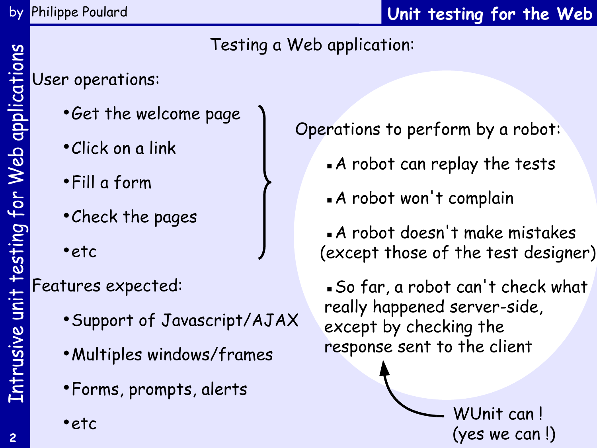# Testing a Web application:

User operations:

- •Get the welcome page
- •Click on a link
- •Fill a form
- •Check the pages
- •etc

Features expected:

- •Support of Javascript/AJAX
- •Multiples windows/frames
- •Forms, prompts, alerts
- •etc

Operations to perform by a robot:

- ▪A robot can replay the tests
- **A** robot won't complain

▪A robot doesn't make mistakes (except those of the test designer)

▪So far, a robot can't check what really happened server-side, except by checking the response sent to the client

> WUnit can ! (yes we can !)

Intrusive unit testing for Web applications

Intrusive unit testing for Web applications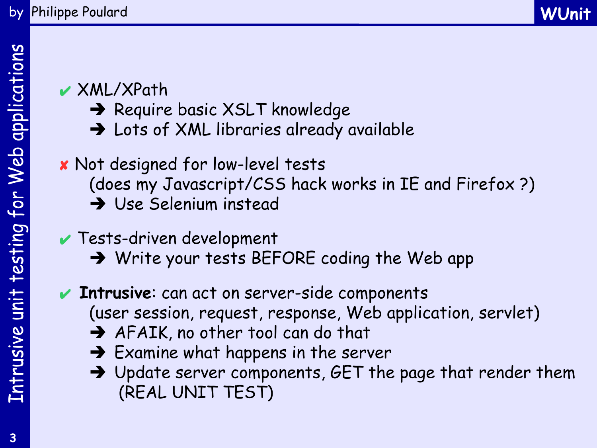# ✔ XML/XPath

- → Require basic XSLT knowledge
- → Lots of XML libraries already available

# ✘ Not designed for low-level tests

- (does my Javascript/CSS hack works in IE and Firefox ?)
- Use Selenium instead

# ✔ Tests-driven development

→ Write your tests BEFORE coding the Web app

# ✔ **Intrusive**: can act on server-side components (user session, request, response, Web application, servlet)

- AFAIK, no other tool can do that
- $\rightarrow$  Examine what happens in the server
- $\rightarrow$  Update server components, GET the page that render them (REAL UNIT TEST)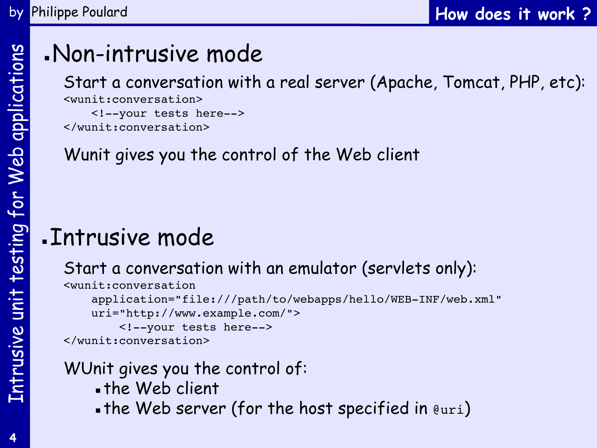# . Non-intrusive mode

Start a conversation with a real server (Apache, Tomcat, PHP, etc): <wunit:conversation> <!--your tests here-->

</wunit:conversation>

# Wunit gives you the control of the Web client

# ▪Intrusive mode

## Start a conversation with an emulator (servlets only):

<wunit:conversation application="file:///path/to/webapps/hello/WEB-INF/web.xml" uri="http://www.example.com/"> <!--your tests here--> </wunit:conversation>

# WUnit gives you the control of:

- . the Web client
- . the Web server (for the host specified in  $euri)$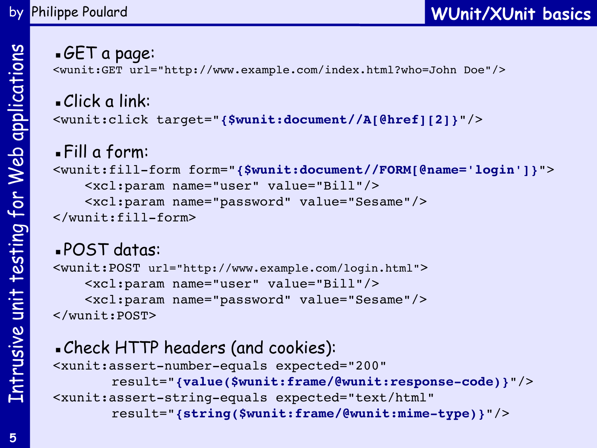#### ▪GET a page:

<wunit:GET url="http://www.example.com/index.html?who=John Doe"/>

▪Click a link: <wunit:click target="**{\$wunit:document//A[@href][2]}**"/>

▪Fill a form: <wunit:fill-form form="**{\$wunit:document//FORM[@name='login']}**"> <xcl:param name="user" value="Bill"/> <xcl:param name="password" value="Sesame"/> </wunit:fill-form>

# ▪POST datas:

```
<wunit:POST url="http://www.example.com/login.html"> 
     <xcl:param name="user" value="Bill"/>
     <xcl:param name="password" value="Sesame"/>
</wunit:POST>
```

```
▪Check HTTP headers (and cookies):
<xunit:assert-number-equals expected="200"
       result="{value($wunit:frame/@wunit:response-code)}"/>
<xunit:assert-string-equals expected="text/html"
       result="{string($wunit:frame/@wunit:mime-type)}"/>
```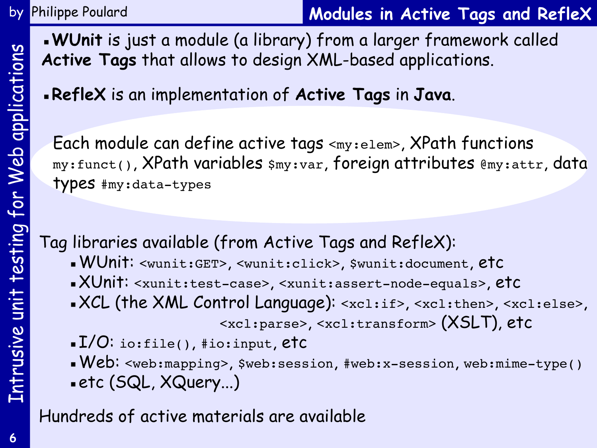#### by Philippe Poulard

**Modules in Active Tags and RefleX**

▪**WUnit** is just a module (a library) from a larger framework called **Active Tags** that allows to design XML-based applications.

▪**RefleX** is an implementation of **Active Tags** in **Java**.

Each module can define active tags <my:elem>, XPath functions my:funct(), XPath variables \$my:var, foreign attributes @my:attr, data types #my:data-types

Tag libraries available (from Active Tags and RefleX):

- ▪WUnit: <wunit:GET>, <wunit:click>, \$wunit:document, etc
- ▪XUnit: <xunit:test-case>, <xunit:assert-node-equals>, etc
- ▪XCL (the XML Control Language): <xcl:if>, <xcl:then>, <xcl:else>, <xcl:parse>, <xcl:transform> (XSLT), etc
- ▪I/O: io:file(), #io:input, etc
- ▪Web: <web:mapping>, \$web:session, #web:x-session, web:mime-type() ▪etc (SQL, XQuery...)

Hundreds of active materials are available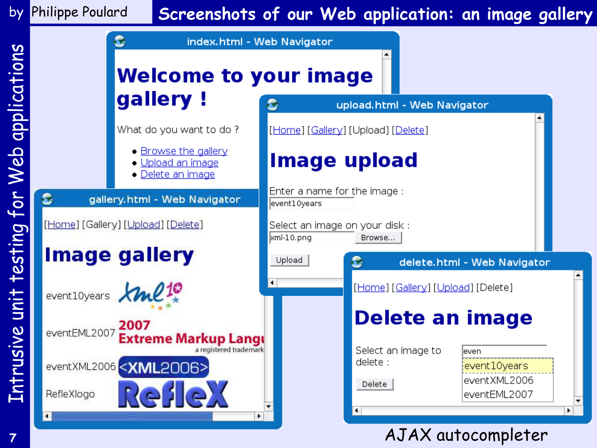# by Philippe Poulard

## **Screenshots of our Web application: an image gallery**



**7**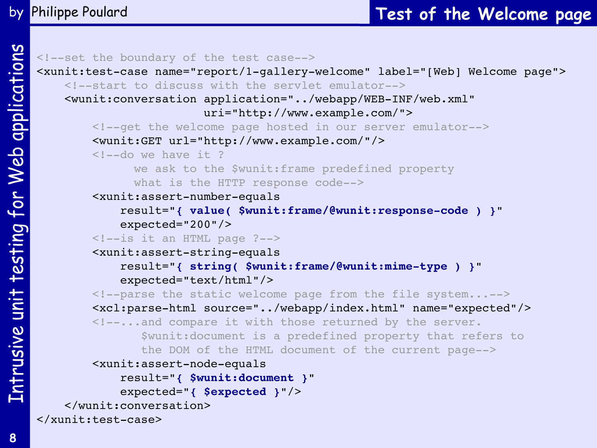```
<!--set the boundary of the test case-->
<xunit:test-case name="report/1-gallery-welcome" label="[Web] Welcome page">
     <!--start to discuss with the servlet emulator-->
     <wunit:conversation application="../webapp/WEB-INF/web.xml"
                         uri="http://www.example.com/">
         <!--get the welcome page hosted in our server emulator-->
         <wunit:GET url="http://www.example.com/"/>
        \langle!--do we have it ?
               we ask to the $wunit:frame predefined property
               what is the HTTP response code-->
         <xunit:assert-number-equals
             result="{ value( $wunit:frame/@wunit:response-code ) }"
             expected="200"/>
         <!--is it an HTML page ?-->
         <xunit:assert-string-equals
             result="{ string( $wunit:frame/@wunit:mime-type ) }"
             expected="text/html"/>
         <!--parse the static welcome page from the file system...-->
         <xcl:parse-html source="../webapp/index.html" name="expected"/>
         <!--...and compare it with those returned by the server.
                $wunit:document is a predefined property that refers to
                the DOM of the HTML document of the current page-->
         <xunit:assert-node-equals
             result="{ $wunit:document }"
             expected="{ $expected }"/>
     </wunit:conversation>
</xunit:test-case>
```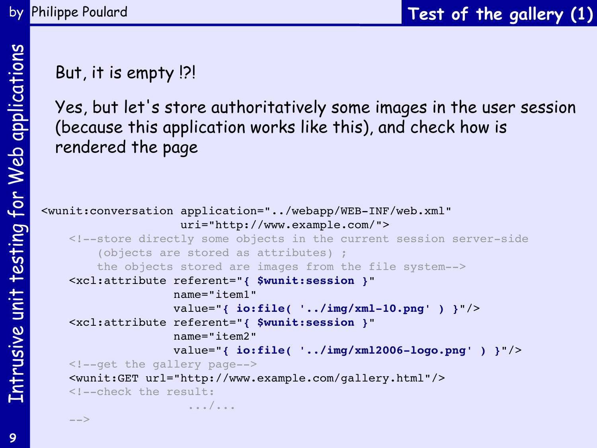# But, it is empty !?!

by Philippe Poulard

Yes, but let's store authoritatively some images in the user session (because this application works like this), and check how is rendered the page

```
<wunit:conversation application="../webapp/WEB-INF/web.xml"
                     uri="http://www.example.com/">
     <!--store directly some objects in the current session server-side
         (objects are stored as attributes) ;
         the objects stored are images from the file system-->
     <xcl:attribute referent="{ $wunit:session }"
                    name="item1" 
                    value="{ io:file( '../img/xml-10.png' ) }"/>
     <xcl:attribute referent="{ $wunit:session }"
                    name="item2"
                    value="{ io:file( '../img/xml2006-logo.png' ) }"/>
     <!--get the gallery page-->
     <wunit:GET url="http://www.example.com/gallery.html"/>
     <!--check the result:
                       .../...
     -->
```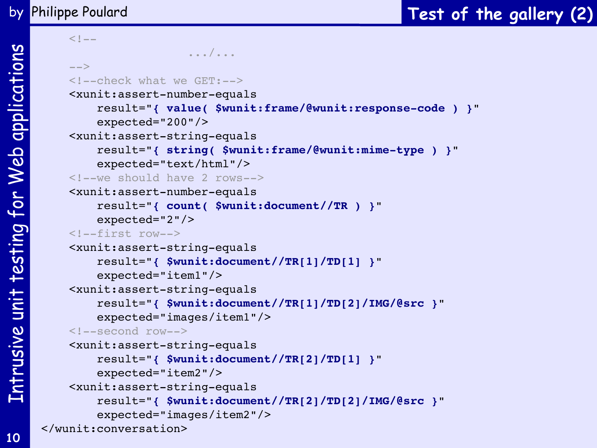$$-$$  .../...  $--&>$  <!--check what we GET:--> <xunit:assert-number-equals result="**{ value( \$wunit:frame/@wunit:response-code ) }**" expected="200"/> <xunit:assert-string-equals result="**{ string( \$wunit:frame/@wunit:mime-type ) }**" expected="text/html"/> <!--we should have 2 rows--> <xunit:assert-number-equals result="**{ count( \$wunit:document//TR ) }**" expected="2"/> <!--first row--> <xunit:assert-string-equals result="**{ \$wunit:document//TR[1]/TD[1] }**" expected="item1"/> <xunit:assert-string-equals result="**{ \$wunit:document//TR[1]/TD[2]/IMG/@src }**" expected="images/item1"/> <!--second row--> <xunit:assert-string-equals result="**{ \$wunit:document//TR[2]/TD[1] }**" expected="item2"/> <xunit:assert-string-equals result="**{ \$wunit:document//TR[2]/TD[2]/IMG/@src }**" expected="images/item2"/> </wunit:conversation>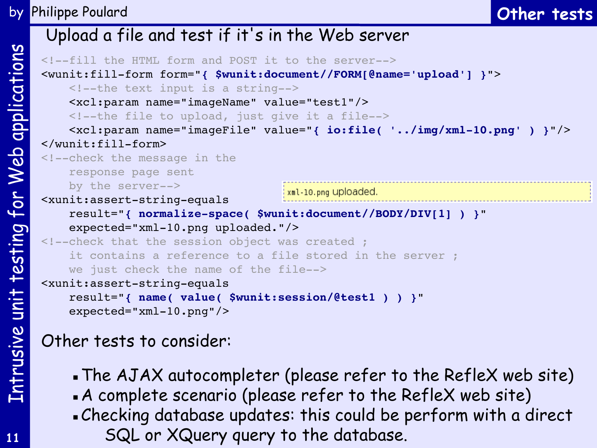#### Upload a file and test if it's in the Web server <!--fill the HTML form and POST it to the server--> <wunit:fill-form form="**{ \$wunit:document//FORM[@name='upload'] }**"> <!--the text input is a string--> <xcl:param name="imageName" value="test1"/> <!--the file to upload, just give it a file--> <xcl:param name="imageFile" value="**{ io:file( '../img/xml-10.png' ) }**"/> </wunit:fill-form> <!--check the message in the response page sent by the server--> xml-10.png uploaded. <xunit:assert-string-equals result="**{ normalize-space( \$wunit:document//BODY/DIV[1] ) }**" expected="xml-10.png uploaded."/> <!--check that the session object was created ; it contains a reference to a file stored in the server ; we just check the name of the file--> <xunit:assert-string-equals result="**{ name( value( \$wunit:session/@test1 ) ) }**" expected="xml-10.png"/>

# Other tests to consider:

- . The AJAX autocompleter (please refer to the RefleX web site)
- ▪A complete scenario (please refer to the RefleX web site)
- ▪Checking database updates: this could be perform with a direct SQL or XQuery query to the database.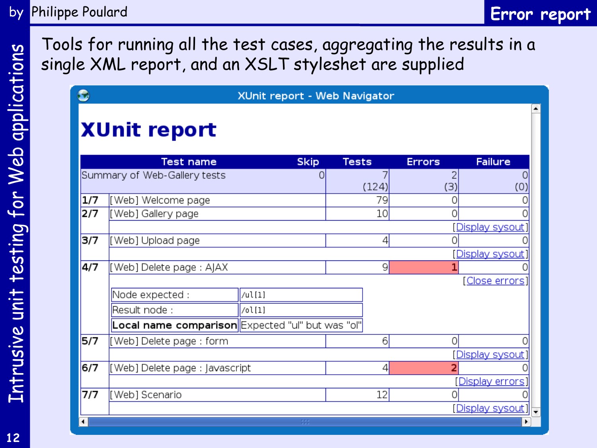**Error report**

Tools for running all the test cases, aggregating the results in a single XML report, and an XSLT styleshet are supplied

|     |                                                  | XUnit report - Web Navigator |              |       |               |                    |
|-----|--------------------------------------------------|------------------------------|--------------|-------|---------------|--------------------|
|     | <b>XUnit report</b>                              |                              |              |       |               |                    |
|     | <b>Test name</b>                                 | <b>Skip</b>                  | <b>Tests</b> |       | <b>Errors</b> | <b>Failure</b>     |
|     | Summary of Web-Gallery tests                     | 0                            |              | (124) | (3)           | (0)                |
| 1/7 | [Web] Welcome page                               |                              |              | 79    | Ω             |                    |
| 2/7 | [Web] Gallery page                               |                              |              | 10    | Λ             |                    |
|     |                                                  |                              |              |       |               | Display sysout     |
| 3/7 | [Web] Upload page                                |                              |              | 4     |               |                    |
|     |                                                  |                              |              |       |               | Display sysout     |
| 4/7 | [Web] Delete page : AJAX                         |                              |              | 9     |               |                    |
|     |                                                  |                              |              |       |               | [Close errors]     |
|     | Node expected :                                  | $ /$ ul[1]                   |              |       |               |                    |
|     | Result node :                                    | /ol[1]                       |              |       |               |                    |
|     | Local name comparison Expected "ul" but was "ol" |                              |              |       |               |                    |
| 5/7 | [Web] Delete page: form                          |                              |              | 6     | Ω             |                    |
|     |                                                  |                              |              |       |               | [Display sysout]   |
| 6/7 | [Web] Delete page : Javascript                   |                              |              | 4     |               |                    |
|     |                                                  |                              |              |       |               | [Display errors]   |
| 7/7 | [Web] Scenario                                   |                              |              | 12    |               |                    |
|     |                                                  |                              |              |       |               | [Display sysout] - |
|     |                                                  | 55                           |              |       |               |                    |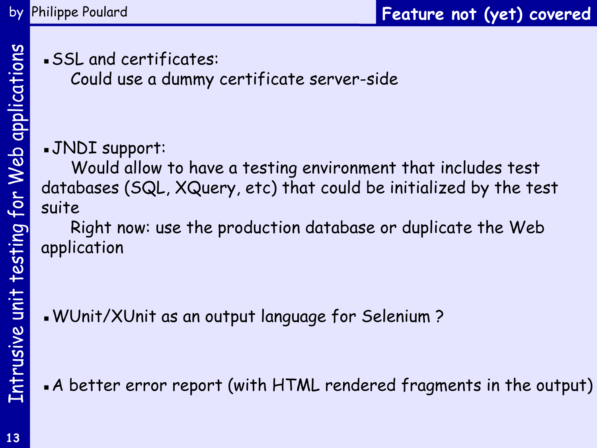▪SSL and certificates:

Could use a dummy certificate server-side

# ▪JNDI support:

Would allow to have a testing environment that includes test databases (SQL, XQuery, etc) that could be initialized by the test suite

Right now: use the production database or duplicate the Web application

▪WUnit/XUnit as an output language for Selenium ?

. A better error report (with HTML rendered fragments in the output)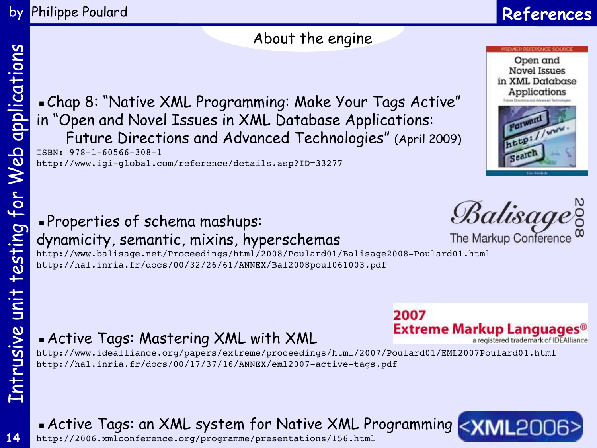**14**

#### by Philippe Poulard

# **References**

#### About the engine

▪Chap 8: "Native XML Programming: Make Your Tags Active" in "Open and Novel Issues in XML Database Applications: Future Directions and Advanced Technologies" (April 2009) ISBN: 978-1-60566-308-1

http://www.igi-global.com/reference/details.asp?ID=33277

## ▪Properties of schema mashups: dynamicity, semantic, mixins, hyperschemas

http://www.balisage.net/Proceedings/html/2008/Poulard01/Balisage2008-Poulard01.html http://hal.inria.fr/docs/00/32/26/61/ANNEX/Bal2008poul061003.pdf

# **Active Tags: Mastering XML with XML**

http://www.idealliance.org/papers/extreme/proceedings/html/2007/Poulard01/EML2007Poulard01.html http://hal.inria.fr/docs/00/17/37/16/ANNEX/eml2007-active-tags.pdf

## **• Active Tags: an XML system for Native XML Programming**  $\leq$

<http://2006.xmlconference.org/programme/presentations/156.html>





Open and

2007 Extreme Markup Languages® a registered trademark of IDEAlliance